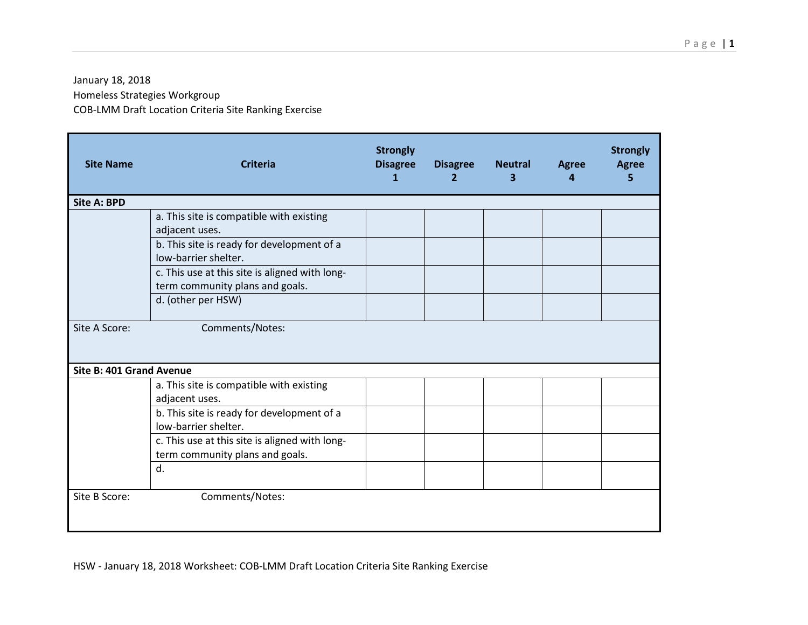## January 18, 2018

Homeless Strategies Workgroup

COB-LMM Draft Location Criteria Site Ranking Exercise

| <b>Site Name</b>         | <b>Criteria</b>                                                                   | <b>Strongly</b><br><b>Disagree</b><br>$\mathbf{1}$ | <b>Disagree</b><br>$\overline{2}$ | <b>Neutral</b><br>3 | <b>Agree</b><br>Δ | <b>Strongly</b><br><b>Agree</b><br>5 |
|--------------------------|-----------------------------------------------------------------------------------|----------------------------------------------------|-----------------------------------|---------------------|-------------------|--------------------------------------|
| <b>Site A: BPD</b>       |                                                                                   |                                                    |                                   |                     |                   |                                      |
|                          | a. This site is compatible with existing<br>adjacent uses.                        |                                                    |                                   |                     |                   |                                      |
|                          | b. This site is ready for development of a<br>low-barrier shelter.                |                                                    |                                   |                     |                   |                                      |
|                          | c. This use at this site is aligned with long-<br>term community plans and goals. |                                                    |                                   |                     |                   |                                      |
|                          | d. (other per HSW)                                                                |                                                    |                                   |                     |                   |                                      |
| Site A Score:            | Comments/Notes:                                                                   |                                                    |                                   |                     |                   |                                      |
| Site B: 401 Grand Avenue |                                                                                   |                                                    |                                   |                     |                   |                                      |
|                          | a. This site is compatible with existing<br>adjacent uses.                        |                                                    |                                   |                     |                   |                                      |
|                          | b. This site is ready for development of a<br>low-barrier shelter.                |                                                    |                                   |                     |                   |                                      |
|                          | c. This use at this site is aligned with long-<br>term community plans and goals. |                                                    |                                   |                     |                   |                                      |
|                          | d.                                                                                |                                                    |                                   |                     |                   |                                      |
| Site B Score:            | Comments/Notes:                                                                   |                                                    |                                   |                     |                   |                                      |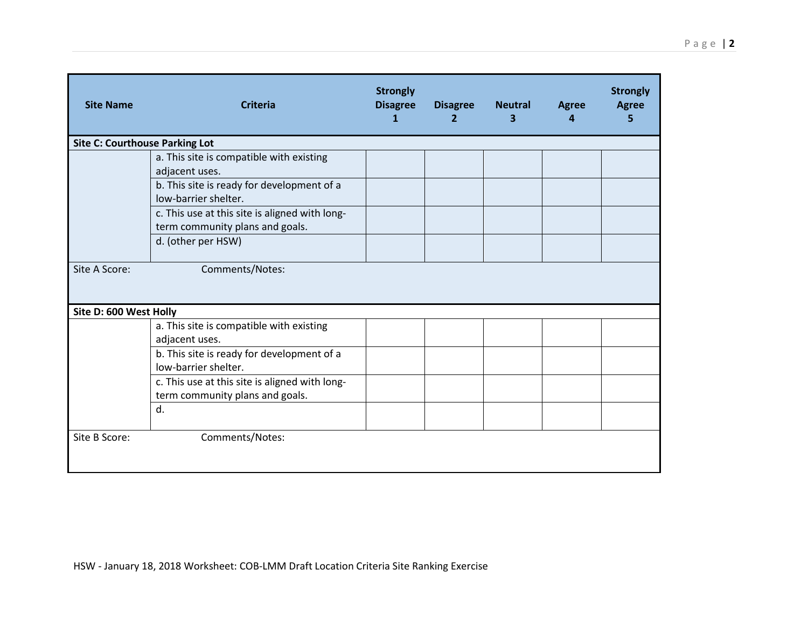| <b>Site Name</b>                      | <b>Criteria</b>                                                                   | <b>Strongly</b><br><b>Disagree</b><br>$\mathbf{1}$ | <b>Disagree</b><br>$\overline{2}$ | <b>Neutral</b><br>3 | <b>Agree</b><br>4 | <b>Strongly</b><br><b>Agree</b><br>5 |  |  |
|---------------------------------------|-----------------------------------------------------------------------------------|----------------------------------------------------|-----------------------------------|---------------------|-------------------|--------------------------------------|--|--|
| <b>Site C: Courthouse Parking Lot</b> |                                                                                   |                                                    |                                   |                     |                   |                                      |  |  |
|                                       | a. This site is compatible with existing<br>adjacent uses.                        |                                                    |                                   |                     |                   |                                      |  |  |
|                                       | b. This site is ready for development of a<br>low-barrier shelter.                |                                                    |                                   |                     |                   |                                      |  |  |
|                                       | c. This use at this site is aligned with long-<br>term community plans and goals. |                                                    |                                   |                     |                   |                                      |  |  |
|                                       | d. (other per HSW)                                                                |                                                    |                                   |                     |                   |                                      |  |  |
| Site A Score:                         | Comments/Notes:                                                                   |                                                    |                                   |                     |                   |                                      |  |  |
|                                       | Site D: 600 West Holly                                                            |                                                    |                                   |                     |                   |                                      |  |  |
|                                       | a. This site is compatible with existing<br>adjacent uses.                        |                                                    |                                   |                     |                   |                                      |  |  |
|                                       | b. This site is ready for development of a<br>low-barrier shelter.                |                                                    |                                   |                     |                   |                                      |  |  |
|                                       | c. This use at this site is aligned with long-<br>term community plans and goals. |                                                    |                                   |                     |                   |                                      |  |  |
|                                       | d.                                                                                |                                                    |                                   |                     |                   |                                      |  |  |
| Site B Score:                         | Comments/Notes:                                                                   |                                                    |                                   |                     |                   |                                      |  |  |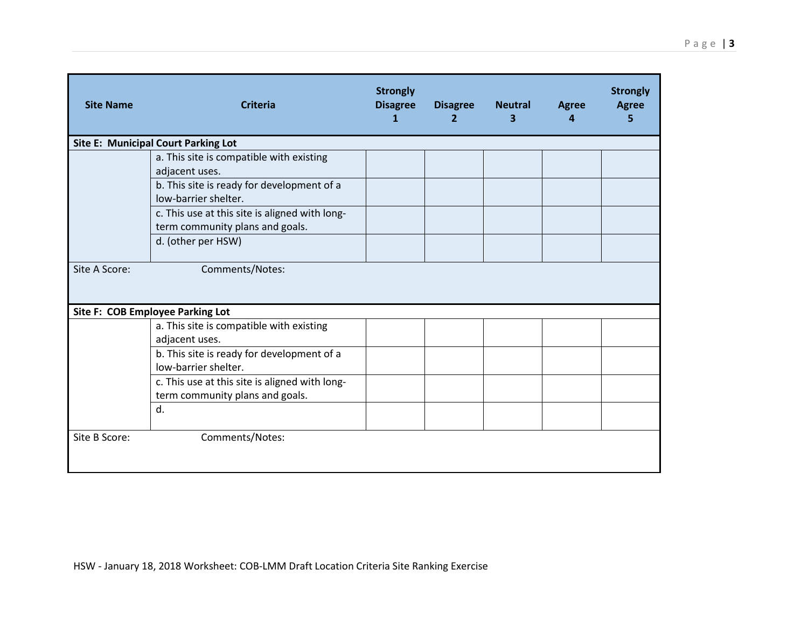| <b>Site Name</b>                           | <b>Criteria</b>                                                                   | <b>Strongly</b><br><b>Disagree</b><br>$\mathbf{1}$ | <b>Disagree</b><br>$\overline{2}$ | <b>Neutral</b><br>3. | <b>Agree</b><br>4 | <b>Strongly</b><br><b>Agree</b><br>5 |  |
|--------------------------------------------|-----------------------------------------------------------------------------------|----------------------------------------------------|-----------------------------------|----------------------|-------------------|--------------------------------------|--|
| <b>Site E: Municipal Court Parking Lot</b> |                                                                                   |                                                    |                                   |                      |                   |                                      |  |
|                                            | a. This site is compatible with existing<br>adjacent uses.                        |                                                    |                                   |                      |                   |                                      |  |
|                                            | b. This site is ready for development of a<br>low-barrier shelter.                |                                                    |                                   |                      |                   |                                      |  |
|                                            | c. This use at this site is aligned with long-<br>term community plans and goals. |                                                    |                                   |                      |                   |                                      |  |
|                                            | d. (other per HSW)                                                                |                                                    |                                   |                      |                   |                                      |  |
| Site A Score:                              | Comments/Notes:                                                                   |                                                    |                                   |                      |                   |                                      |  |
| Site F: COB Employee Parking Lot           |                                                                                   |                                                    |                                   |                      |                   |                                      |  |
|                                            | a. This site is compatible with existing                                          |                                                    |                                   |                      |                   |                                      |  |
|                                            | adjacent uses.                                                                    |                                                    |                                   |                      |                   |                                      |  |
|                                            | b. This site is ready for development of a<br>low-barrier shelter.                |                                                    |                                   |                      |                   |                                      |  |
|                                            | c. This use at this site is aligned with long-<br>term community plans and goals. |                                                    |                                   |                      |                   |                                      |  |
|                                            | d.                                                                                |                                                    |                                   |                      |                   |                                      |  |
| Site B Score:                              | Comments/Notes:                                                                   |                                                    |                                   |                      |                   |                                      |  |